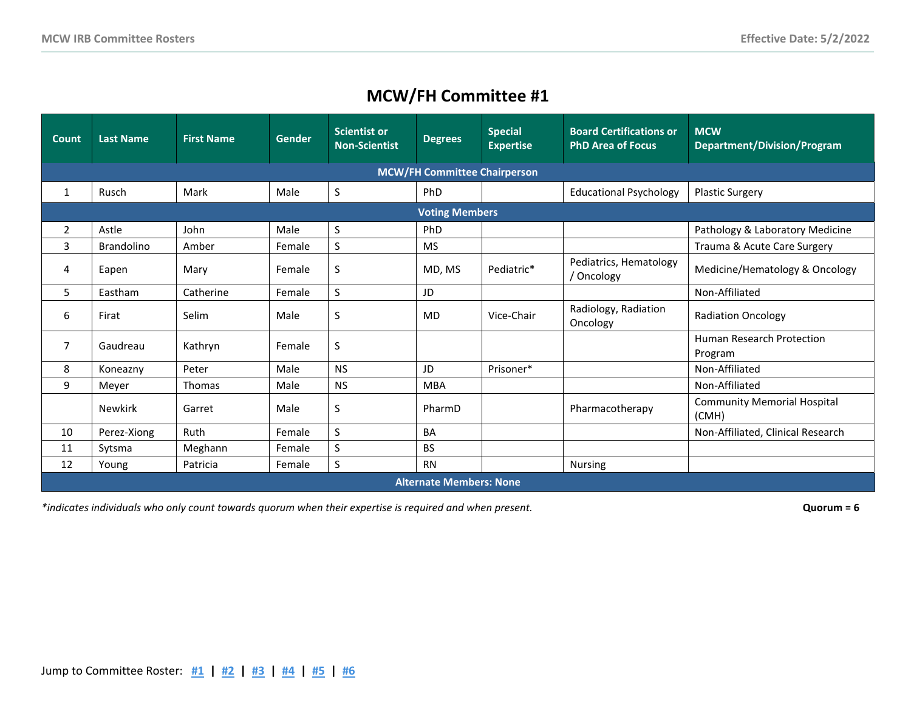<span id="page-0-0"></span>

| <b>Count</b>                        | <b>Last Name</b>               | <b>First Name</b> | <b>Gender</b> | <b>Scientist or</b><br><b>Non-Scientist</b> | <b>Degrees</b> | <b>Special</b><br><b>Expertise</b> | <b>Board Certifications or</b><br><b>PhD Area of Focus</b> | <b>MCW</b><br><b>Department/Division/Program</b> |  |  |  |  |
|-------------------------------------|--------------------------------|-------------------|---------------|---------------------------------------------|----------------|------------------------------------|------------------------------------------------------------|--------------------------------------------------|--|--|--|--|
| <b>MCW/FH Committee Chairperson</b> |                                |                   |               |                                             |                |                                    |                                                            |                                                  |  |  |  |  |
| 1                                   | Rusch                          | Mark              | Male          | S                                           | PhD.           |                                    | <b>Educational Psychology</b>                              | <b>Plastic Surgery</b>                           |  |  |  |  |
|                                     | <b>Voting Members</b>          |                   |               |                                             |                |                                    |                                                            |                                                  |  |  |  |  |
| $\overline{2}$                      | Astle                          | John              | Male          | S                                           | PhD            |                                    |                                                            | Pathology & Laboratory Medicine                  |  |  |  |  |
| 3                                   | <b>Brandolino</b>              | Amber             | Female        | S                                           | <b>MS</b>      |                                    |                                                            | Trauma & Acute Care Surgery                      |  |  |  |  |
| 4                                   | Eapen                          | Mary              | Female        | S                                           | MD, MS         | Pediatric*                         | Pediatrics, Hematology<br>/ Oncology                       | Medicine/Hematology & Oncology                   |  |  |  |  |
| 5                                   | Eastham                        | Catherine         | Female        | S                                           | JD             |                                    |                                                            | Non-Affiliated                                   |  |  |  |  |
| 6                                   | Firat                          | Selim             | Male          | S                                           | <b>MD</b>      | Vice-Chair                         | Radiology, Radiation<br>Oncology                           | <b>Radiation Oncology</b>                        |  |  |  |  |
| 7                                   | Gaudreau                       | Kathryn           | Female        | S                                           |                |                                    |                                                            | Human Research Protection<br>Program             |  |  |  |  |
| 8                                   | Koneazny                       | Peter             | Male          | <b>NS</b>                                   | JD             | Prisoner*                          |                                                            | Non-Affiliated                                   |  |  |  |  |
| 9                                   | Meyer                          | Thomas            | Male          | <b>NS</b>                                   | <b>MBA</b>     |                                    |                                                            | Non-Affiliated                                   |  |  |  |  |
|                                     | <b>Newkirk</b>                 | Garret            | Male          | S                                           | PharmD         |                                    | Pharmacotherapy                                            | <b>Community Memorial Hospital</b><br>(CMH)      |  |  |  |  |
| 10                                  | Perez-Xiong                    | Ruth              | Female        | S.                                          | <b>BA</b>      |                                    |                                                            | Non-Affiliated, Clinical Research                |  |  |  |  |
| 11                                  | Sytsma                         | Meghann           | Female        | S                                           | <b>BS</b>      |                                    |                                                            |                                                  |  |  |  |  |
| 12                                  | Young                          | Patricia          | Female        | S                                           | <b>RN</b>      |                                    | <b>Nursing</b>                                             |                                                  |  |  |  |  |
|                                     | <b>Alternate Members: None</b> |                   |               |                                             |                |                                    |                                                            |                                                  |  |  |  |  |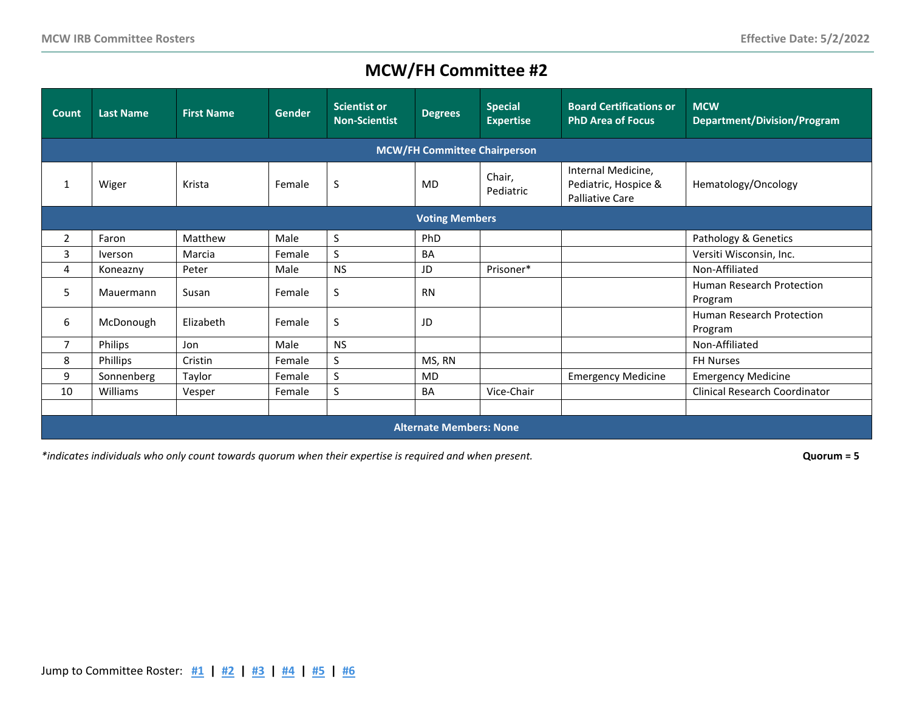<span id="page-1-0"></span>

| <b>Count</b>                        | <b>Last Name</b>               | <b>First Name</b> | <b>Gender</b> | <b>Scientist or</b><br><b>Non-Scientist</b> | <b>Degrees</b> | <b>Special</b><br><b>Expertise</b> | <b>Board Certifications or</b><br><b>PhD Area of Focus</b>           | <b>MCW</b><br>Department/Division/Program |  |  |
|-------------------------------------|--------------------------------|-------------------|---------------|---------------------------------------------|----------------|------------------------------------|----------------------------------------------------------------------|-------------------------------------------|--|--|
| <b>MCW/FH Committee Chairperson</b> |                                |                   |               |                                             |                |                                    |                                                                      |                                           |  |  |
| -1                                  | Wiger                          | Krista            | Female        | S                                           | <b>MD</b>      | Chair,<br>Pediatric                | Internal Medicine,<br>Pediatric, Hospice &<br><b>Palliative Care</b> | Hematology/Oncology                       |  |  |
| <b>Voting Members</b>               |                                |                   |               |                                             |                |                                    |                                                                      |                                           |  |  |
| 2                                   | Faron                          | Matthew           | Male          | S                                           | PhD            |                                    |                                                                      | Pathology & Genetics                      |  |  |
| 3                                   | <i>Iverson</i>                 | Marcia            | Female        | S                                           | <b>BA</b>      |                                    |                                                                      | Versiti Wisconsin, Inc.                   |  |  |
| 4                                   | Koneazny                       | Peter             | Male          | <b>NS</b>                                   | JD             | Prisoner*                          |                                                                      | Non-Affiliated                            |  |  |
| 5                                   | Mauermann                      | Susan             | Female        | S                                           | <b>RN</b>      |                                    |                                                                      | Human Research Protection<br>Program      |  |  |
| 6                                   | McDonough                      | Elizabeth         | Female        | S                                           | JD             |                                    |                                                                      | Human Research Protection<br>Program      |  |  |
| 7                                   | Philips                        | Jon               | Male          | <b>NS</b>                                   |                |                                    |                                                                      | Non-Affiliated                            |  |  |
| 8                                   | Phillips                       | Cristin           | Female        | S                                           | MS, RN         |                                    |                                                                      | <b>FH Nurses</b>                          |  |  |
| 9                                   | Sonnenberg                     | Taylor            | Female        | S                                           | <b>MD</b>      |                                    | <b>Emergency Medicine</b>                                            | <b>Emergency Medicine</b>                 |  |  |
| 10                                  | Williams                       | Vesper            | Female        | S                                           | <b>BA</b>      | Vice-Chair                         |                                                                      | Clinical Research Coordinator             |  |  |
|                                     |                                |                   |               |                                             |                |                                    |                                                                      |                                           |  |  |
|                                     | <b>Alternate Members: None</b> |                   |               |                                             |                |                                    |                                                                      |                                           |  |  |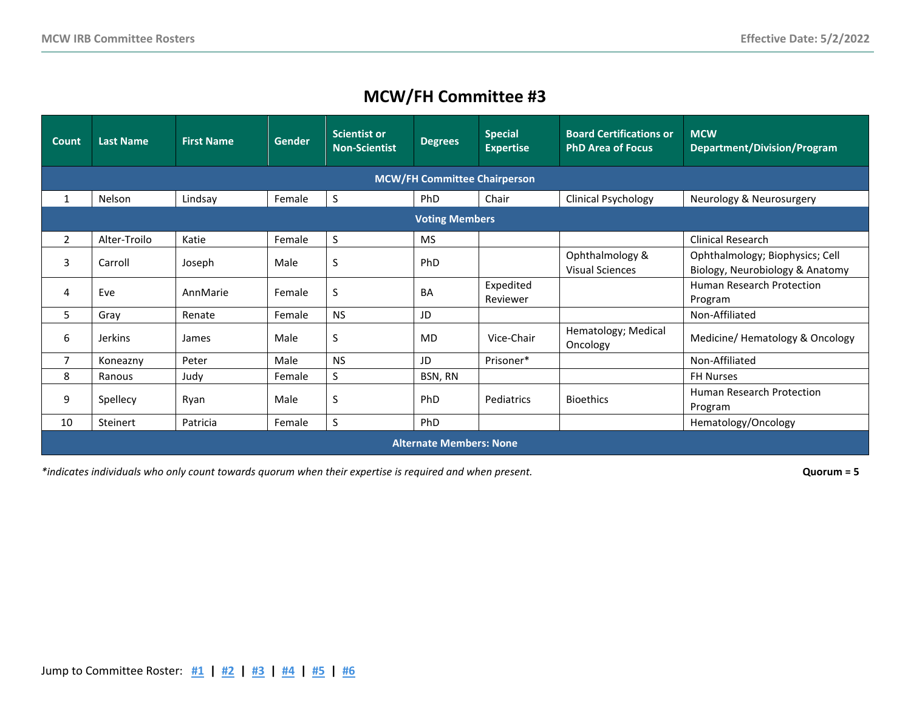<span id="page-2-0"></span>

| Count                               | <b>Last Name</b>               | <b>First Name</b> | <b>Gender</b> | <b>Scientist or</b><br><b>Non-Scientist</b> | <b>Degrees</b> | <b>Special</b><br><b>Expertise</b> | <b>Board Certifications or</b><br><b>PhD Area of Focus</b> | <b>MCW</b><br><b>Department/Division/Program</b>                   |  |  |  |
|-------------------------------------|--------------------------------|-------------------|---------------|---------------------------------------------|----------------|------------------------------------|------------------------------------------------------------|--------------------------------------------------------------------|--|--|--|
| <b>MCW/FH Committee Chairperson</b> |                                |                   |               |                                             |                |                                    |                                                            |                                                                    |  |  |  |
| 1                                   | Nelson                         | Lindsay           | Female        | S                                           | PhD            | Chair                              | <b>Clinical Psychology</b>                                 | Neurology & Neurosurgery                                           |  |  |  |
| <b>Voting Members</b>               |                                |                   |               |                                             |                |                                    |                                                            |                                                                    |  |  |  |
| $\overline{2}$                      | Alter-Troilo                   | Katie             | Female        | S                                           | <b>MS</b>      |                                    |                                                            | Clinical Research                                                  |  |  |  |
| 3                                   | Carroll                        | Joseph            | Male          | S                                           | PhD            |                                    | Ophthalmology &<br><b>Visual Sciences</b>                  | Ophthalmology; Biophysics; Cell<br>Biology, Neurobiology & Anatomy |  |  |  |
| 4                                   | Eve                            | AnnMarie          | Female        | S                                           | <b>BA</b>      | Expedited<br>Reviewer              |                                                            | <b>Human Research Protection</b><br>Program                        |  |  |  |
| 5                                   | Gray                           | Renate            | Female        | <b>NS</b>                                   | JD             |                                    |                                                            | Non-Affiliated                                                     |  |  |  |
| 6                                   | <b>Jerkins</b>                 | James             | Male          | S                                           | <b>MD</b>      | Vice-Chair                         | Hematology; Medical<br>Oncology                            | Medicine/ Hematology & Oncology                                    |  |  |  |
| 7                                   | Koneazny                       | Peter             | Male          | <b>NS</b>                                   | JD             | Prisoner*                          |                                                            | Non-Affiliated                                                     |  |  |  |
| 8                                   | Ranous                         | Judy              | Female        | S                                           | BSN, RN        |                                    |                                                            | <b>FH Nurses</b>                                                   |  |  |  |
| 9                                   | Spellecy                       | Ryan              | Male          | S                                           | <b>PhD</b>     | Pediatrics                         | <b>Bioethics</b>                                           | Human Research Protection<br>Program                               |  |  |  |
| 10                                  | Steinert                       | Patricia          | Female        | S                                           | PhD            |                                    |                                                            | Hematology/Oncology                                                |  |  |  |
|                                     | <b>Alternate Members: None</b> |                   |               |                                             |                |                                    |                                                            |                                                                    |  |  |  |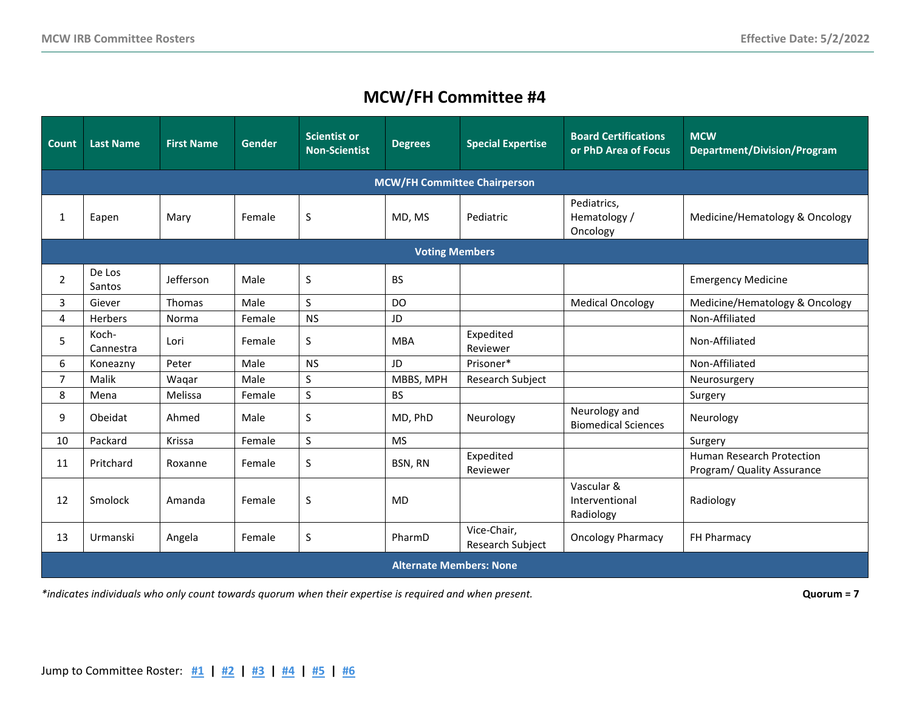<span id="page-3-0"></span>

| <b>Count</b>                        | <b>Last Name</b>               | <b>First Name</b> | <b>Gender</b> | <b>Scientist or</b><br><b>Non-Scientist</b> | <b>Degrees</b> | <b>Special Expertise</b>        | <b>Board Certifications</b><br>or PhD Area of Focus | <b>MCW</b><br><b>Department/Division/Program</b>        |  |  |  |
|-------------------------------------|--------------------------------|-------------------|---------------|---------------------------------------------|----------------|---------------------------------|-----------------------------------------------------|---------------------------------------------------------|--|--|--|
| <b>MCW/FH Committee Chairperson</b> |                                |                   |               |                                             |                |                                 |                                                     |                                                         |  |  |  |
| 1                                   | Eapen                          | Mary              | Female        | S                                           | MD, MS         | Pediatric                       | Pediatrics,<br>Hematology /<br>Oncology             | Medicine/Hematology & Oncology                          |  |  |  |
| <b>Voting Members</b>               |                                |                   |               |                                             |                |                                 |                                                     |                                                         |  |  |  |
| 2                                   | De Los<br>Santos               | Jefferson         | Male          | S                                           | <b>BS</b>      |                                 |                                                     | <b>Emergency Medicine</b>                               |  |  |  |
| 3                                   | Giever                         | Thomas            | Male          | S                                           | <b>DO</b>      |                                 | <b>Medical Oncology</b>                             | Medicine/Hematology & Oncology                          |  |  |  |
| 4                                   | Herbers                        | Norma             | Female        | <b>NS</b>                                   | JD             |                                 |                                                     | Non-Affiliated                                          |  |  |  |
| 5                                   | Koch-<br>Cannestra             | Lori              | Female        | S                                           | <b>MBA</b>     | Expedited<br>Reviewer           |                                                     | Non-Affiliated                                          |  |  |  |
| 6                                   | Koneazny                       | Peter             | Male          | <b>NS</b>                                   | JD             | Prisoner*                       |                                                     | Non-Affiliated                                          |  |  |  |
| $\overline{7}$                      | Malik                          | Waqar             | Male          | S                                           | MBBS, MPH      | Research Subject                |                                                     | Neurosurgery                                            |  |  |  |
| 8                                   | Mena                           | Melissa           | Female        | S                                           | <b>BS</b>      |                                 |                                                     | Surgery                                                 |  |  |  |
| 9                                   | Obeidat                        | Ahmed             | Male          | S                                           | MD, PhD        | Neurology                       | Neurology and<br><b>Biomedical Sciences</b>         | Neurology                                               |  |  |  |
| 10                                  | Packard                        | Krissa            | Female        | S                                           | <b>MS</b>      |                                 |                                                     | Surgery                                                 |  |  |  |
| 11                                  | Pritchard                      | Roxanne           | Female        | S                                           | BSN, RN        | Expedited<br>Reviewer           |                                                     | Human Research Protection<br>Program/ Quality Assurance |  |  |  |
| 12                                  | Smolock                        | Amanda            | Female        | $\sf S$                                     | <b>MD</b>      |                                 | Vascular &<br>Interventional<br>Radiology           | Radiology                                               |  |  |  |
| 13                                  | Urmanski                       | Angela            | Female        | S                                           | PharmD         | Vice-Chair,<br>Research Subject | <b>Oncology Pharmacy</b>                            | FH Pharmacy                                             |  |  |  |
|                                     | <b>Alternate Members: None</b> |                   |               |                                             |                |                                 |                                                     |                                                         |  |  |  |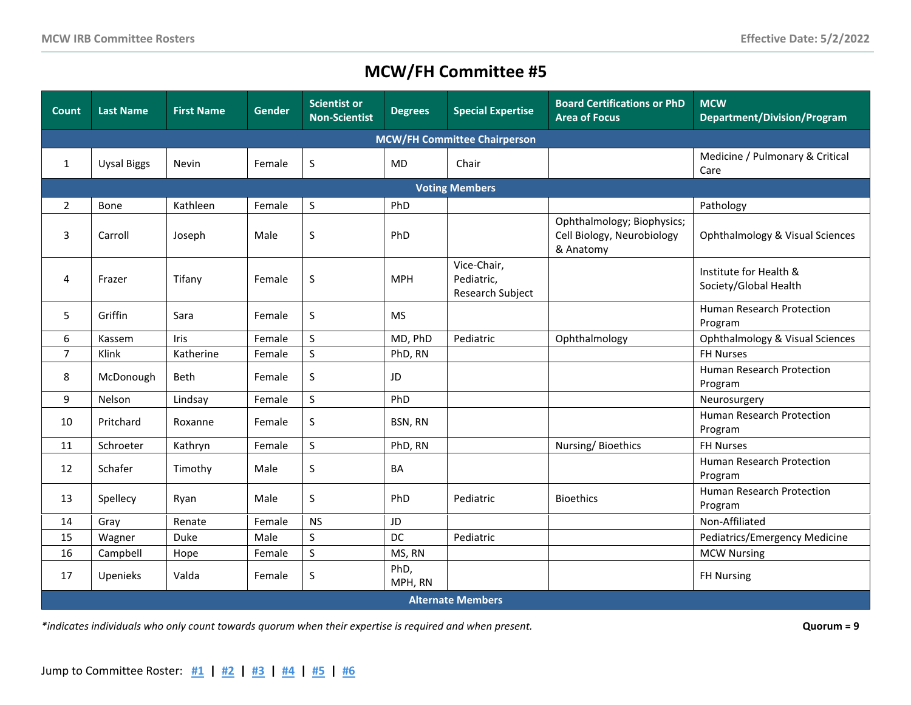<span id="page-4-0"></span>

| Count                               | <b>Last Name</b>   | <b>First Name</b> | <b>Gender</b> | <b>Scientist or</b><br><b>Non-Scientist</b> | <b>Degrees</b>  | <b>Special Expertise</b>                      | <b>Board Certifications or PhD</b><br><b>Area of Focus</b>            | <b>MCW</b><br><b>Department/Division/Program</b> |  |  |  |
|-------------------------------------|--------------------|-------------------|---------------|---------------------------------------------|-----------------|-----------------------------------------------|-----------------------------------------------------------------------|--------------------------------------------------|--|--|--|
| <b>MCW/FH Committee Chairperson</b> |                    |                   |               |                                             |                 |                                               |                                                                       |                                                  |  |  |  |
| 1                                   | <b>Uysal Biggs</b> | Nevin             | Female        | S                                           | <b>MD</b>       | Chair                                         |                                                                       | Medicine / Pulmonary & Critical<br>Care          |  |  |  |
| <b>Voting Members</b>               |                    |                   |               |                                             |                 |                                               |                                                                       |                                                  |  |  |  |
| $\overline{2}$                      | Bone               | Kathleen          | Female        | S                                           | PhD             |                                               |                                                                       | Pathology                                        |  |  |  |
| 3                                   | Carroll            | Joseph            | Male          | $\sf S$                                     | PhD             |                                               | Ophthalmology; Biophysics;<br>Cell Biology, Neurobiology<br>& Anatomy | Ophthalmology & Visual Sciences                  |  |  |  |
| 4                                   | Frazer             | Tifany            | Female        | S                                           | <b>MPH</b>      | Vice-Chair,<br>Pediatric,<br>Research Subject |                                                                       | Institute for Health &<br>Society/Global Health  |  |  |  |
| 5                                   | Griffin            | Sara              | Female        | S                                           | <b>MS</b>       |                                               |                                                                       | Human Research Protection<br>Program             |  |  |  |
| 6                                   | Kassem             | Iris              | Female        | S                                           | MD, PhD         | Pediatric                                     | Ophthalmology                                                         | Ophthalmology & Visual Sciences                  |  |  |  |
| $\overline{7}$                      | Klink              | Katherine         | Female        | $\sf S$                                     | PhD, RN         |                                               |                                                                       | <b>FH Nurses</b>                                 |  |  |  |
| 8                                   | McDonough          | <b>Beth</b>       | Female        | S                                           | JD              |                                               |                                                                       | <b>Human Research Protection</b><br>Program      |  |  |  |
| 9                                   | Nelson             | Lindsay           | Female        | $\mathsf S$                                 | PhD             |                                               |                                                                       | Neurosurgery                                     |  |  |  |
| 10                                  | Pritchard          | Roxanne           | Female        | S                                           | BSN, RN         |                                               |                                                                       | Human Research Protection<br>Program             |  |  |  |
| 11                                  | Schroeter          | Kathryn           | Female        | $\sf S$                                     | PhD, RN         |                                               | Nursing/Bioethics                                                     | <b>FH Nurses</b>                                 |  |  |  |
| 12                                  | Schafer            | Timothy           | Male          | S                                           | BA              |                                               |                                                                       | Human Research Protection<br>Program             |  |  |  |
| 13                                  | Spellecy           | Ryan              | Male          | S                                           | PhD             | Pediatric                                     | <b>Bioethics</b>                                                      | Human Research Protection<br>Program             |  |  |  |
| 14                                  | Gray               | Renate            | Female        | <b>NS</b>                                   | JD              |                                               |                                                                       | Non-Affiliated                                   |  |  |  |
| 15                                  | Wagner             | Duke              | Male          | $\sf S$                                     | DC              | Pediatric                                     |                                                                       | Pediatrics/Emergency Medicine                    |  |  |  |
| 16                                  | Campbell           | Hope              | Female        | $\sf S$                                     | MS, RN          |                                               |                                                                       | <b>MCW Nursing</b>                               |  |  |  |
| 17                                  | Upenieks           | Valda             | Female        | S                                           | PhD,<br>MPH, RN |                                               |                                                                       | <b>FH Nursing</b>                                |  |  |  |
|                                     |                    |                   |               |                                             |                 | <b>Alternate Members</b>                      |                                                                       |                                                  |  |  |  |